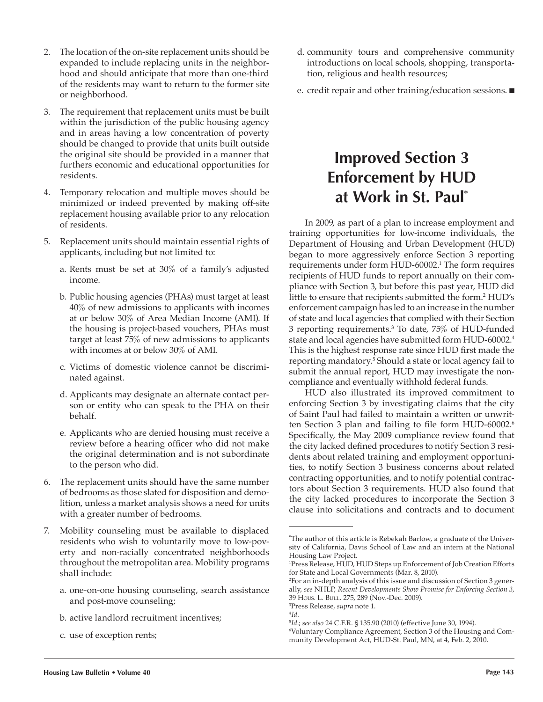- 2. The location of the on-site replacement units should be expanded to include replacing units in the neighborhood and should anticipate that more than one-third of the residents may want to return to the former site or neighborhood.
- 3. The requirement that replacement units must be built within the jurisdiction of the public housing agency and in areas having a low concentration of poverty should be changed to provide that units built outside the original site should be provided in a manner that furthers economic and educational opportunities for residents.
- 4. Temporary relocation and multiple moves should be minimized or indeed prevented by making off-site replacement housing available prior to any relocation of residents.
- 5. Replacement units should maintain essential rights of applicants, including but not limited to:
	- a. Rents must be set at 30% of a family's adjusted income.
	- b. Public housing agencies (PHAs) must target at least 40% of new admissions to applicants with incomes at or below 30% of Area Median Income (AMI). If the housing is project-based vouchers, PHAs must target at least 75% of new admissions to applicants with incomes at or below 30% of AMI.
	- c. Victims of domestic violence cannot be discriminated against.
	- d. Applicants may designate an alternate contact person or entity who can speak to the PHA on their behalf.
	- e. Applicants who are denied housing must receive a review before a hearing officer who did not make the original determination and is not subordinate to the person who did.
- 6. The replacement units should have the same number of bedrooms as those slated for disposition and demolition, unless a market analysis shows a need for units with a greater number of bedrooms.
- 7. Mobility counseling must be available to displaced residents who wish to voluntarily move to low-poverty and non-racially concentrated neighborhoods throughout the metropolitan area. Mobility programs shall include:
	- a. one-on-one housing counseling, search assistance and post-move counseling;
	- b. active landlord recruitment incentives;
	- c. use of exception rents;
- d. community tours and comprehensive community introductions on local schools, shopping, transportation, religious and health resources;
- e. credit repair and other training/education sessions.  $\blacksquare$

# **Improved Section 3 Enforcement by HUD at Work in St. Paul\***

In 2009, as part of a plan to increase employment and training opportunities for low-income individuals, the Department of Housing and Urban Development (HUD) began to more aggressively enforce Section 3 reporting requirements under form HUD-60002.1 The form requires recipients of HUD funds to report annually on their compliance with Section 3, but before this past year, HUD did little to ensure that recipients submitted the form.2 HUD's enforcement campaign has led to an increase in the number of state and local agencies that complied with their Section 3 reporting requirements.3 To date, 75% of HUD-funded state and local agencies have submitted form HUD-60002.4 This is the highest response rate since HUD first made the reporting mandatory.5 Should a state or local agency fail to submit the annual report, HUD may investigate the noncompliance and eventually withhold federal funds.

HUD also illustrated its improved commitment to enforcing Section 3 by investigating claims that the city of Saint Paul had failed to maintain a written or unwritten Section 3 plan and failing to file form HUD-60002.<sup>6</sup> Specifically, the May 2009 compliance review found that the city lacked defined procedures to notify Section 3 residents about related training and employment opportunities, to notify Section 3 business concerns about related contracting opportunities, and to notify potential contractors about Section 3 requirements. HUD also found that the city lacked procedures to incorporate the Section 3 clause into solicitations and contracts and to document

<sup>∗</sup> The author of this article is Rebekah Barlow, a graduate of the University of California, Davis School of Law and an intern at the National Housing Law Project.

<sup>1</sup> Press Release, HUD, HUD Steps up Enforcement of Job Creation Efforts for State and Local Governments (Mar. 8, 2010).

<sup>2</sup> For an in-depth analysis of this issue and discussion of Section 3 generally, *see* NHLP, *Recent Developments Show Promise for Enforcing Section 3*, 39 HOUS. L. BULL. 275, 289 (Nov.-Dec. 2009).

<sup>&</sup>lt;sup>3</sup>Press Release, *supra* note 1.

<sup>&</sup>lt;sup>3</sup>Press Release*, supra* note 1.<br><sup>4</sup>I*d.*<br><sup>5</sup>I*d.; see also* 24 C.F.R. § 135.90 (2010) (effective June 30*,* 1994).

<sup>6</sup> Voluntary Compliance Agreement, Section 3 of the Housing and Community Development Act, HUD-St. Paul, MN, at 4, Feb. 2, 2010.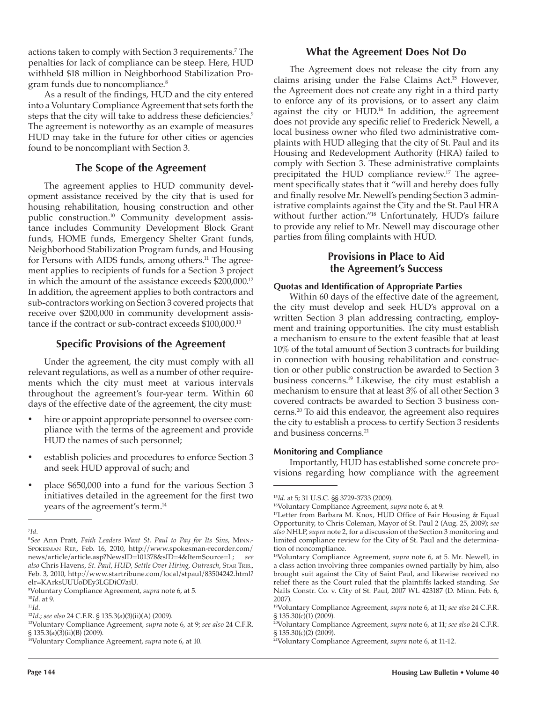actions taken to comply with Section 3 requirements.7 The penalties for lack of compliance can be steep. Here, HUD withheld \$18 million in Neighborhood Stabilization Program funds due to noncompliance.<sup>8</sup>

As a result of the findings, HUD and the city entered into a Voluntary Compliance Agreement that sets forth the steps that the city will take to address these deficiencies.<sup>9</sup> The agreement is noteworthy as an example of measures HUD may take in the future for other cities or agencies found to be noncompliant with Section 3.

## **The Scope of the Agreement**

The agreement applies to HUD community development assistance received by the city that is used for housing rehabilitation, housing construction and other public construction.10 Community development assistance includes Community Development Block Grant funds, HOME funds, Emergency Shelter Grant funds, Neighborhood Stabilization Program funds, and Housing for Persons with AIDS funds, among others.<sup>11</sup> The agreement applies to recipients of funds for a Section 3 project in which the amount of the assistance exceeds \$200,000.12 In addition, the agreement applies to both contractors and sub-contractors working on Section 3 covered projects that receive over \$200,000 in community development assistance if the contract or sub-contract exceeds \$100,000.13

## **Specific Provisions of the Agreement**

Under the agreement, the city must comply with all relevant regulations, as well as a number of other requirements which the city must meet at various intervals throughout the agreement's four-year term. Within 60 days of the effective date of the agreement, the city must:

- hire or appoint appropriate personnel to oversee compliance with the terms of the agreement and provide HUD the names of such personnel;
- establish policies and procedures to enforce Section 3 and seek HUD approval of such; and
- place \$650,000 into a fund for the various Section 3 initiatives detailed in the agreement for the first two years of the agreement's term.14

13Voluntary Compliance Agreement, *supra* note 6, at 9; *see also* 24 C.F.R. § 135.3(a)(3)(ii)(B) (2009).

### **What the Agreement Does Not Do**

The Agreement does not release the city from any claims arising under the False Claims Act.<sup>15</sup> However, the Agreement does not create any right in a third party to enforce any of its provisions, or to assert any claim against the city or HUD.16 In addition, the agreement does not provide any specific relief to Frederick Newell, a local business owner who filed two administrative complaints with HUD alleging that the city of St. Paul and its Housing and Redevelopment Authority (HRA) failed to comply with Section 3. These administrative complaints precipitated the HUD compliance review.17 The agreement specifically states that it "will and hereby does fully and finally resolve Mr. Newell's pending Section 3 administrative complaints against the City and the St. Paul HRA without further action."18 Unfortunately, HUD's failure to provide any relief to Mr. Newell may discourage other parties from filing complaints with HUD.

# **Provisions in Place to Aid the Agreement's Success**

#### **Quotas and Identification of Appropriate Parties**

Within 60 days of the effective date of the agreement, the city must develop and seek HUD's approval on a written Section 3 plan addressing contracting, employment and training opportunities. The city must establish a mechanism to ensure to the extent feasible that at least 10% of the total amount of Section 3 contracts for building in connection with housing rehabilitation and construction or other public construction be awarded to Section 3 business concerns.19 Likewise, the city must establish a mechanism to ensure that at least 3% of all other Section 3 covered contracts be awarded to Section 3 business concerns.20 To aid this endeavor, the agreement also requires the city to establish a process to certify Section 3 residents and business concerns.<sup>21</sup>

#### **Monitoring and Compliance**

Importantly, HUD has established some concrete provisions regarding how compliance with the agreement

<sup>7</sup> *Id*.

<sup>8</sup> *See* Ann Pratt, *Faith Leaders Want St. Paul to Pay for Its Sins*, MINN.- SPOKESMAN REP., Feb. 16, 2010, http://www.spokesman-recorder.com/ news/article/article.asp?NewsID=101378&sID=4&ItemSource=L; *see also* Chris Havens, *St. Paul, HUD, Settle Over Hiring, Outreach*, STAR TRIB., Feb. 3, 2010, http://www.startribune.com/local/stpaul/83504242.html? elr=KArksUUUoDEy3LGDiO7aiU.

<sup>9</sup> Voluntary Compliance Agreement, *supra* note 6, at 5.

<sup>10</sup>*Id*. at 9. 11*Id*. 12*Id*.; *see also* 24 C.F.R. § 135.3(a)(3)(ii)(A) (2009).

<sup>14</sup>Voluntary Compliance Agreement, *supra* note 6, at 10.

<sup>&</sup>lt;sup>15</sup>Id. at 5; 31 U.S.C. §§ 3729-3733 (2009).<br><sup>16</sup>Voluntary Compliance Agreement, *supra* note 6, at 9.<br><sup>17</sup>Letter from Barbara M. Knox, HUD Office of Fair Housing & Equal Opportunity, to Chris Coleman, Mayor of St. Paul 2 (Aug. 25, 2009); *see also* NHLP, *supra* note 2, for a discussion of the Section 3 monitoring and limited compliance review for the City of St. Paul and the determination of noncompliance.

<sup>18</sup>Voluntary Compliance Agreement, *supra* note 6, at 5. Mr. Newell, in a class action involving three companies owned partially by him, also brought suit against the City of Saint Paul, and likewise received no relief there as the Court ruled that the plaintiffs lacked standing. *See* Nails Constr. Co. v. City of St. Paul, 2007 WL 423187 (D. Minn. Feb. 6, 2007).

<sup>19</sup>Voluntary Compliance Agreement, *supra* note 6, at 11; *see also* 24 C.F.R. § 135.30(c)(1) (2009).

<sup>20</sup>Voluntary Compliance Agreement, *supra* note 6, at 11; *see also* 24 C.F.R. § 135.30(c)(2) (2009).

<sup>21</sup>Voluntary Compliance Agreement, *supra* note 6, at 11-12.